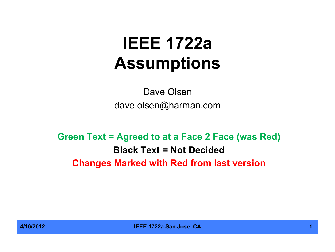# **IEEE 1722a Assumptions**

Dave Olsen dave.olsen@harman.com

**Green Text = Agreed to at a Face 2 Face (was Red) Black Text = Not Decided Changes Marked with Red from last version**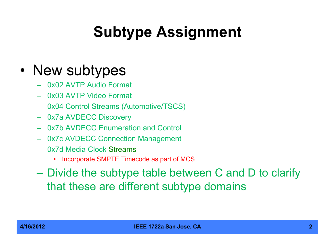# **Subtype Assignment**

#### • New subtypes

- 0x02 AVTP Audio Format
- 0x03 AVTP Video Format
- 0x04 Control Streams (Automotive/TSCS)
- 0x7a AVDECC Discovery
- 0x7b AVDECC Enumeration and Control
- 0x7c AVDECC Connection Management
- 0x7d Media Clock Streams
	- Incorporate SMPTE Timecode as part of MCS
- Divide the subtype table between C and D to clarify that these are different subtype domains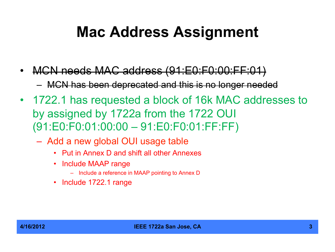#### **Mac Address Assignment**

- MCN needs MAC address (91:E0:F0:00:FF:01) – MCN has been deprecated and this is no longer needed
- 1722.1 has requested a block of 16k MAC addresses to by assigned by 1722a from the 1722 OUI (91:E0:F0:01:00:00 – 91:E0:F0:01:FF:FF)
	- Add a new global OUI usage table
		- Put in Annex D and shift all other Annexes
		- Include MAAP range
			- Include a reference in MAAP pointing to Annex D
		- Include 1722.1 range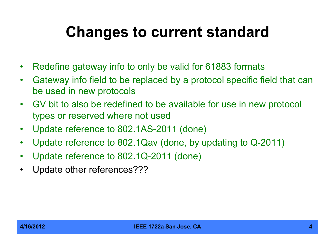## **Changes to current standard**

- Redefine gateway info to only be valid for 61883 formats
- Gateway info field to be replaced by a protocol specific field that can be used in new protocols
- GV bit to also be redefined to be available for use in new protocol types or reserved where not used
- Update reference to 802.1AS-2011 (done)
- Update reference to 802.1Qav (done, by updating to Q-2011)
- Update reference to 802.1Q-2011 (done)
- Update other references???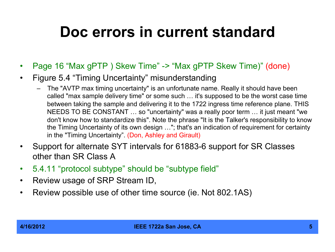#### **Doc errors in current standard**

- Page 16 "Max gPTP ) Skew Time" -> "Max gPTP Skew Time)" (done)
- Figure 5.4 "Timing Uncertainty" misunderstanding
	- The "AVTP max timing uncertainty" is an unfortunate name. Really it should have been called "max sample delivery time" or some such … it's supposed to be the worst case time between taking the sample and delivering it to the 1722 ingress time reference plane. THIS NEEDS TO BE CONSTANT … so "uncertainty" was a really poor term … it just meant "we don't know how to standardize this". Note the phrase "It is the Talker's responsibility to know the Timing Uncertainty of its own design …"; that's an indication of requirement for certainty in the "Timing Uncertainty". (Don, Ashley and Girault)
- Support for alternate SYT intervals for 61883-6 support for SR Classes other than SR Class A
- 5.4.11 "protocol subtype" should be "subtype field"
- Review usage of SRP Stream ID,
- Review possible use of other time source (ie. Not 802.1AS)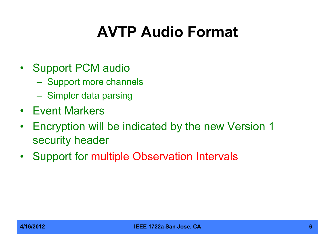# **AVTP Audio Format**

- Support PCM audio
	- Support more channels
	- Simpler data parsing
- Event Markers
- Encryption will be indicated by the new Version 1 security header
- Support for multiple Observation Intervals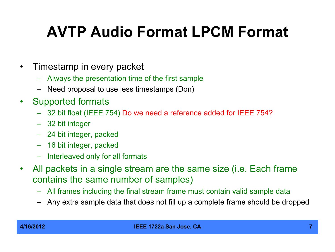# **AVTP Audio Format LPCM Format**

- Timestamp in every packet
	- Always the presentation time of the first sample
	- Need proposal to use less timestamps (Don)
- Supported formats
	- 32 bit float (IEEE 754) Do we need a reference added for IEEE 754?
	- 32 bit integer
	- 24 bit integer, packed
	- 16 bit integer, packed
	- Interleaved only for all formats
- All packets in a single stream are the same size (i.e. Each frame contains the same number of samples)
	- All frames including the final stream frame must contain valid sample data
	- Any extra sample data that does not fill up a complete frame should be dropped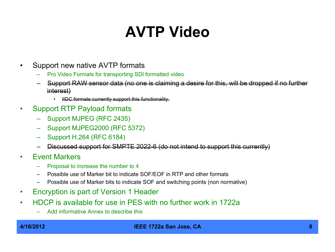# **AVTP Video**

- Support new native AVTP formats
	- Pro Video Formats for transporting SDI formatted video
	- Support RAW sensor data (no one is claiming a desire for this, will be dropped if no further interest)
		- IIDC formats currently support this functionality.
- Support RTP Payload formats
	- Support MJPEG (RFC 2435)
	- Support MJPEG2000 (RFC 5372)
	- Support H.264 (RFC 6184)
	- Discussed support for SMPTE 2022-6 (do not intend to support this currently)
- Event Markers
	- Proposal to increase the number to 4
	- Possible use of Marker bit to indicate SOF/EOF in RTP and other formats
	- Possible use of Marker bits to indicate SOF and switching points (non normative)
- Encryption is part of Version 1 Header
- HDCP is available for use in PES with no further work in 1722a
	- Add informative Annex to describe this

#### **4/16/2012 IEEE 1722a San Jose, CA 8**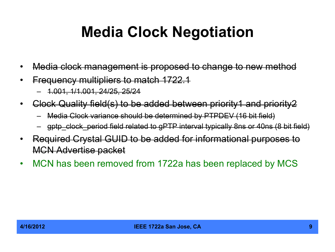### **Media Clock Negotiation**

- Media clock management is proposed to change to new method
- Frequency multipliers to match 1722.1
	- 1.001, 1/1.001, 24/25, 25/24
- Clock Quality field(s) to be added between priority1 and priority2
	- Media Clock variance should be determined by PTPDEV (16 bit field)
	- gptp\_clock\_period field related to gPTP interval typically 8ns or 40ns (8 bit field)
- Required Crystal GUID to be added for informational purposes to MCN Advertise packet
- MCN has been removed from 1722a has been replaced by MCS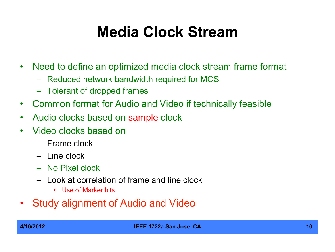#### **Media Clock Stream**

- Need to define an optimized media clock stream frame format
	- Reduced network bandwidth required for MCS
	- Tolerant of dropped frames
- Common format for Audio and Video if technically feasible
- Audio clocks based on sample clock
- Video clocks based on
	- Frame clock
	- Line clock
	- No Pixel clock
	- Look at correlation of frame and line clock
		- Use of Marker bits
- Study alignment of Audio and Video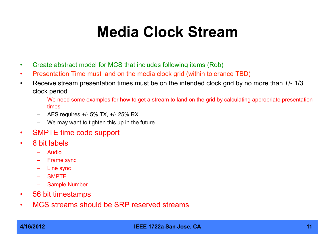#### **Media Clock Stream**

- Create abstract model for MCS that includes following items (Rob)
- Presentation Time must land on the media clock grid (within tolerance TBD)
- Receive stream presentation times must be on the intended clock grid by no more than  $+/-1/3$ clock period
	- We need some examples for how to get a stream to land on the grid by calculating appropriate presentation times
	- AES requires +/- 5% TX, +/- 25% RX
	- We may want to tighten this up in the future
- SMPTE time code support
- 8 bit labels
	- Audio
	- Frame sync
	- Line sync
	- SMPTE
	- Sample Number
- 56 bit timestamps
- MCS streams should be SRP reserved streams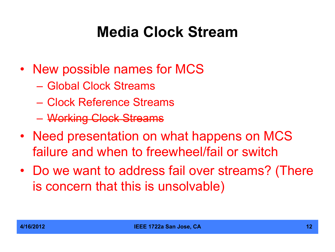## **Media Clock Stream**

- New possible names for MCS
	- Global Clock Streams
	- Clock Reference Streams
	- Working Clock Streams
- Need presentation on what happens on MCS failure and when to freewheel/fail or switch
- Do we want to address fail over streams? (There is concern that this is unsolvable)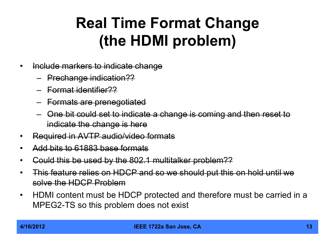## **Real Time Format Change (the HDMI problem)**

- Include markers to indicate change
	- Prechange indication??
	- Format identifier??
	- Formats are prenegotiated
	- One bit could set to indicate a change is coming and then reset to indicate the change is here
- Required in AVTP audio/video formats
- Add bits to 61883 base formats
- Could this be used by the 802.1 multitalker problem??
- This feature relies on HDCP and so we should put this on hold until we solve the HDCP Problem
- HDMI content must be HDCP protected and therefore must be carried in a MPEG2-TS so this problem does not exist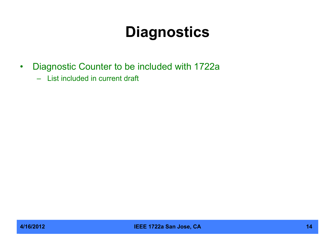## **Diagnostics**

- Diagnostic Counter to be included with 1722a
	- List included in current draft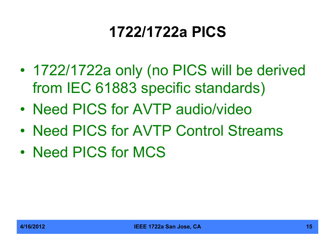# **1722/1722a PICS**

- 1722/1722a only (no PICS will be derived from IEC 61883 specific standards)
- Need PICS for AVTP audio/video
- Need PICS for AVTP Control Streams
- Need PICS for MCS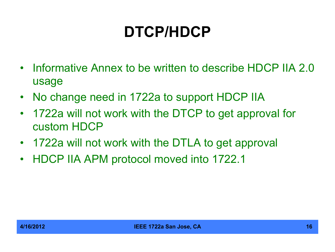# **DTCP/HDCP**

- Informative Annex to be written to describe HDCP IIA 2.0 usage
- No change need in 1722a to support HDCP IIA
- 1722a will not work with the DTCP to get approval for custom HDCP
- 1722a will not work with the DTLA to get approval
- HDCP IIA APM protocol moved into 1722.1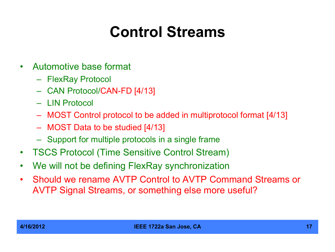# **Control Streams**

- Automotive base format
	- FlexRay Protocol
	- CAN Protocol/CAN-FD [4/13]
	- LIN Protocol
	- MOST Control protocol to be added in multiprotocol format [4/13]
	- MOST Data to be studied [4/13]
	- Support for multiple protocols in a single frame
- TSCS Protocol (Time Sensitive Control Stream)
- We will not be defining FlexRay synchronization
- Should we rename AVTP Control to AVTP Command Streams or AVTP Signal Streams, or something else more useful?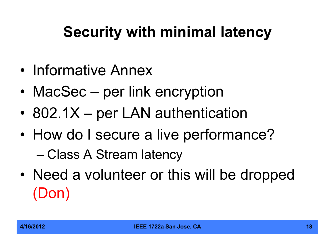# **Security with minimal latency**

- Informative Annex
- MacSec per link encryption
- 802.1X per LAN authentication
- How do I secure a live performance?

– Class A Stream latency

• Need a volunteer or this will be dropped (Don)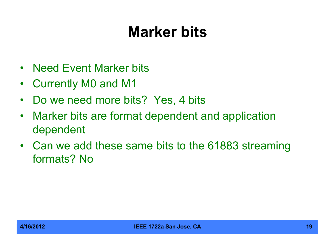### **Marker bits**

- Need Event Marker bits
- Currently M0 and M1
- Do we need more bits? Yes, 4 bits
- Marker bits are format dependent and application dependent
- Can we add these same bits to the 61883 streaming formats? No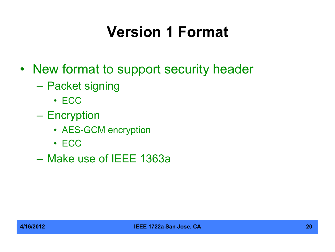# **Version 1 Format**

- New format to support security header
	- Packet signing
		- ECC
	- Encryption
		- AES-GCM encryption
		- ECC
	- Make use of IEEE 1363a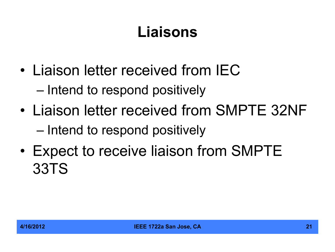# **Liaisons**

- Liaison letter received from IEC – Intend to respond positively
- Liaison letter received from SMPTE 32NF – Intend to respond positively
- Expect to receive liaison from SMPTE 33TS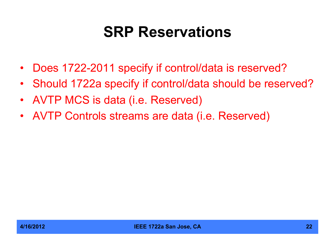#### **SRP Reservations**

- Does 1722-2011 specify if control/data is reserved?
- Should 1722a specify if control/data should be reserved?
- AVTP MCS is data (i.e. Reserved)
- AVTP Controls streams are data (i.e. Reserved)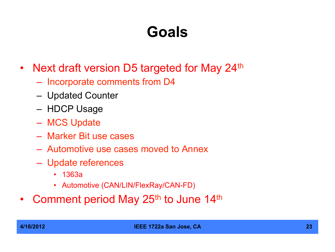## **Goals**

- Next draft version D5 targeted for May 24<sup>th</sup>
	- Incorporate comments from D4
	- Updated Counter
	- HDCP Usage
	- MCS Update
	- Marker Bit use cases
	- Automotive use cases moved to Annex
	- Update references
		- 1363a
		- Automotive (CAN/LIN/FlexRay/CAN-FD)
- Comment period May 25<sup>th</sup> to June 14<sup>th</sup>